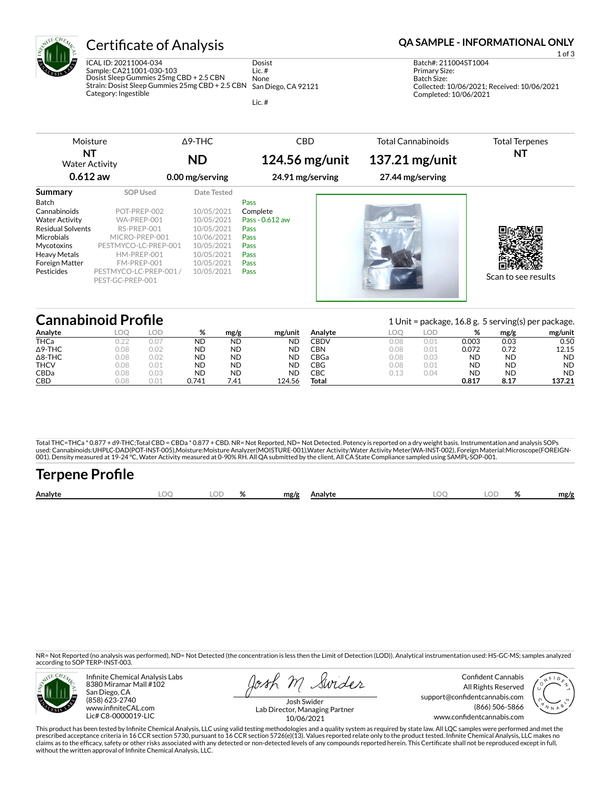

# Certificate of Analysis **Certificate of Analysis QA SAMPLE - INFORMATIONAL ONLY**

ICAL ID: 20211004-034 Sample: CA211001-030-103 Dosist Sleep Gummies 25mg CBD + 2.5 CBN Strain: Dosist Sleep Gummies 25mg CBD + 2.5 CBN Category: Ingestible Dosist Lic. # None San Diego, CA 92121

Lic. #

1 of 3

Batch#: 211004ST1004 Primary Size: Batch Size: Collected: 10/06/2021; Received: 10/06/2021 Completed: 10/06/2021

| NT<br><b>Water Activity</b><br>$0.612$ aw                                                                                                                                |                                                                                                                                       | <b>ND</b><br>0.00 mg/serving                                                                                  | 124.56 mg/unit<br>24.91 mg/serving                                          | 137.21 mg/unit<br>27.44 mg/serving | NT                  |
|--------------------------------------------------------------------------------------------------------------------------------------------------------------------------|---------------------------------------------------------------------------------------------------------------------------------------|---------------------------------------------------------------------------------------------------------------|-----------------------------------------------------------------------------|------------------------------------|---------------------|
| Summary<br>Batch<br>Cannabinoids<br><b>Water Activity</b><br><b>Residual Solvents</b><br><b>Microbials</b><br>Mycotoxins<br><b>Heavy Metals</b><br><b>Foreign Matter</b> | <b>SOP Used</b><br>POT-PREP-002<br>WA-PREP-001<br>RS-PREP-001<br>MICRO-PREP-001<br>PESTMYCO-LC-PREP-001<br>HM-PREP-001<br>FM-PREP-001 | Date Tested<br>10/05/2021<br>10/05/2021<br>10/05/2021<br>10/06/2021<br>10/05/2021<br>10/05/2021<br>10/05/2021 | Pass<br>Complete<br>Pass - 0.612 aw<br>Pass<br>Pass<br>Pass<br>Pass<br>Pass |                                    |                     |
| Pesticides                                                                                                                                                               | PESTMYCO-LC-PREP-001 /<br>PEST-GC-PREP-001                                                                                            | 10/05/2021                                                                                                    | Pass                                                                        |                                    | Scan to see results |

|                | <b>Cannabinoid Profile</b> |      |           |           |           |         |      |      | 1 Unit = package, 16.8 g. 5 serving(s) per package. |           |           |  |  |  |
|----------------|----------------------------|------|-----------|-----------|-----------|---------|------|------|-----------------------------------------------------|-----------|-----------|--|--|--|
| Analyte        | LOO                        | LOD. | %         | mg/g      | mg/unit   | Analyte | LOO. | LOD  | %                                                   | mg/g      | mg/unit   |  |  |  |
| <b>THCa</b>    |                            | 0.01 | <b>ND</b> | <b>ND</b> | <b>ND</b> | CBDV    | 0.08 | 0.01 | 0.003                                               | 0.03      | 0.50      |  |  |  |
| $\Delta$ 9-THC | 0.08                       | 0.02 | <b>ND</b> | <b>ND</b> | ND        | CBN.    | 0.08 | 0.01 | 0.072                                               | 0.72      | 12.15     |  |  |  |
| $\Delta$ 8-THC | 0.08                       | 0.02 | <b>ND</b> | <b>ND</b> | ND        | CBGa    | 0.08 | 0.03 | ND                                                  | <b>ND</b> | <b>ND</b> |  |  |  |
| <b>THCV</b>    | 0.08                       | 0.01 | <b>ND</b> | <b>ND</b> | <b>ND</b> | CBG     | 0.08 | 0.01 | <b>ND</b>                                           | <b>ND</b> | <b>ND</b> |  |  |  |
| <b>CBDa</b>    | 0.08                       | 0.03 | <b>ND</b> | <b>ND</b> | ΝC        | СВС     | 0.13 | 0.04 | ND                                                  | <b>ND</b> | <b>ND</b> |  |  |  |
| CBD            | 0.08                       | 0.01 | 0.741     | 7.41      | 124.56    | Total   |      |      | 0.817                                               | 8.17      | 137.21    |  |  |  |

Total THC=THCa \* 0.877 + d9-THC;Total CBD = CBDa \* 0.877 + CBD. NR= Not Reported, ND= Not Detected. Potency is reported on a dry weight basis. Instrumentation and analysis SOPs used: Cannabinoids:UHPLC-DAD(POT-INST-005),Moisture:Moisture Analyzer(MOISTURE-001),Water Activity:Water Activity Meter(WA-INST-002), Foreign Material:Microscope(FOREIGN-<br>001). Density measured at 19-24 °C, Water Activity

| <b>Terpene Profile</b> |      |       |              |     |       |      |
|------------------------|------|-------|--------------|-----|-------|------|
| Analyte                | LOO. | LOD % | mg/g Analyte | LOO | LOD % | mg/g |

NR= Not Reported (no analysis was performed), ND= Not Detected (the concentration is less then the Limit of Detection (LOD)). Analytical instrumentation used: HS-GC-MS; samples analyzed according to SOP TERP-INST-003.



Infinite Chemical Analysis Labs 8380 Miramar Mall #102 San Diego, CA (858) 623-2740 www.infiniteCAL.com Lic# C8-0000019-LIC

Josh M Swider

Confident Cannabis All Rights Reserved support@confidentcannabis.com (866) 506-5866 www.confidentcannabis.com



Josh Swider Lab Director, Managing Partner 10/06/2021

This product has been tested by Infinite Chemical Analysis, LLC using valid testing methodologies and a quality system as required by state law. All LQC samples were performed and met the prescribed acceptance criteria in 16 CCR section 5730, pursuant to 16 CCR section 5726(e)(13). Values reported relate only to the product tested. Infinite Chemical Analysis, LLC makes no<br>claims as to the efficacy, safety o without the written approval of Infinite Chemical Analysis, LLC.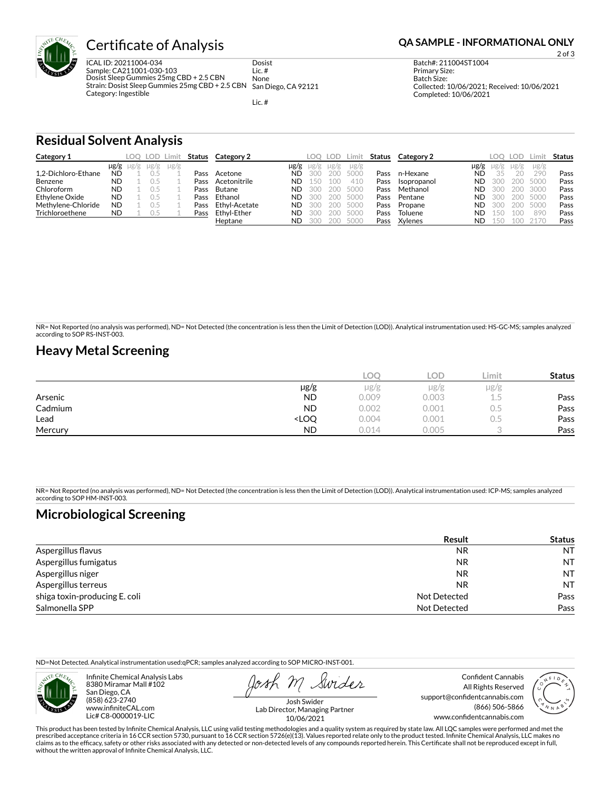

# **Certificate of Analysis <b>Certificate of Analysis QA SAMPLE - INFORMATIONAL ONLY**

ICAL ID: 20211004-034 Sample: CA211001-030-103 Dosist Sleep Gummies 25mg CBD + 2.5 CBN Strain: Dosist Sleep Gummies 25mg CBD + 2.5 CBN Category: Ingestible Dosist Lic. # None San Diego, CA 92121

Lic. #

2 of 3

Batch#: 211004ST1004 Primary Size: Batch Size: Collected: 10/06/2021; Received: 10/06/2021 Completed: 10/06/2021

**Residual Solvent Analysis**

| Category 1          |           | LOO.                | LOD Limit |           | Status | Category 2    |           | LOO.      | LOD. | Limi      | Status | Category 2  |           | LOO.      | LOD       | Limit.    | Status |
|---------------------|-----------|---------------------|-----------|-----------|--------|---------------|-----------|-----------|------|-----------|--------|-------------|-----------|-----------|-----------|-----------|--------|
|                     |           | $\mu$ g/g $\mu$ g/g | $\mu$ g/g | $\mu$ g/g |        |               | µg/g      | $\mu$ g/g | ug/g | $\mu$ g/g |        |             | µg/g      | $\mu$ g/g | $\mu$ g/g | $\mu$ g/g |        |
| 1.2-Dichloro-Ethane | <b>ND</b> |                     |           |           | Pass   | Acetone       | <b>ND</b> | 300       | 200  | 5000      | Pass   | n-Hexane    | <b>ND</b> | 35        |           | 290       | Pass   |
| Benzene             | <b>ND</b> |                     |           |           | Pass   | Acetonitrile  | <b>ND</b> | 50        |      | 410       | Pass   | Isopropanol | <b>ND</b> | 300       | 200       | 5000      | Pass   |
| Chloroform          | <b>ND</b> |                     |           |           | Pass   | Butane        | <b>ND</b> | 300       | 200  | 5000      | Pass   | Methanol    | ND.       | -300      | 200       | 3000      | Pass   |
| Ethylene Oxide      | <b>ND</b> |                     |           |           | Pass   | Ethanol       | <b>ND</b> | 300       | 200  | 5000      | Pass   | Pentane     | ND.       | 300       | 200       | 5000      | Pass   |
| Methylene-Chloride  | <b>ND</b> |                     |           |           | Pass   | Ethyl-Acetate | <b>ND</b> | 300       | 200  | 5000      | Pass   | Propane     | ND.       | -300      | 200       | 5000      | Pass   |
| Trichloroethene     | <b>ND</b> |                     | 0.5       |           | Pass   | Ethvl-Ether   | <b>ND</b> | 300       | 200  | 5000      | Pass   | Toluene     | ND.       | 150       | 100       | 890       | Pass   |
|                     |           |                     |           |           |        | Heptane       | <b>ND</b> | 300       | 200  | 5000      | Pass   | Xylenes     | <b>ND</b> | 150       | 100       | 2170      | Pass   |

NR= Not Reported (no analysis was performed), ND= Not Detected (the concentration is less then the Limit of Detection (LOD)). Analytical instrumentation used: HS-GC-MS; samples analyzed according to SOP RS-INST-003.

## **Heavy Metal Screening**

|         |                                                                          | <b>LOC</b> | LOD       | Limit | <b>Status</b> |
|---------|--------------------------------------------------------------------------|------------|-----------|-------|---------------|
|         | µg/g                                                                     | $\mu$ g/g  | $\mu$ g/g | µg/g  |               |
| Arsenic | <b>ND</b>                                                                | 0.009      | 0.003     | 1.5   | Pass          |
| Cadmium | <b>ND</b>                                                                | 0.002      | 0.001     | U.5   | Pass          |
| Lead    | <loq< th=""><th>0.004</th><th>0.001</th><th>U.5</th><th>Pass</th></loq<> | 0.004      | 0.001     | U.5   | Pass          |
| Mercury | <b>ND</b>                                                                | 0.014      | 0.005     |       | Pass          |

NR= Not Reported (no analysis was performed), ND= Not Detected (the concentration is less then the Limit of Detection (LOD)). Analytical instrumentation used: ICP-MS; samples analyzed according to SOP HM-INST-003.

## **Microbiological Screening**

|                               | Result       | <b>Status</b> |
|-------------------------------|--------------|---------------|
| Aspergillus flavus            | <b>NR</b>    | <b>NT</b>     |
| Aspergillus fumigatus         | <b>NR</b>    | <b>NT</b>     |
| Aspergillus niger             | <b>NR</b>    | <b>NT</b>     |
| Aspergillus terreus           | <b>NR</b>    | <b>NT</b>     |
| shiga toxin-producing E. coli | Not Detected | Pass          |
| Salmonella SPP                | Not Detected | Pass          |

ND=Not Detected. Analytical instrumentation used:qPCR; samples analyzed according to SOP MICRO-INST-001.



Infinite Chemical Analysis Labs 8380 Miramar Mall #102 San Diego, CA (858) 623-2740 www.infiniteCAL.com Lic# C8-0000019-LIC

Swider

Confident Cannabis All Rights Reserved support@confidentcannabis.com (866) 506-5866 www.confidentcannabis.com



Josh Swider Lab Director, Managing Partner 10/06/2021

This product has been tested by Infinite Chemical Analysis, LLC using valid testing methodologies and a quality system as required by state law. All LQC samples were performed and met the prescribed acceptance criteria in 16 CCR section 5730, pursuant to 16 CCR section 5726(e)(13). Values reported relate only to the product tested. Infinite Chemical Analysis, LLC makes no<br>claims as to the efficacy, safety o without the written approval of Infinite Chemical Analysis, LLC.